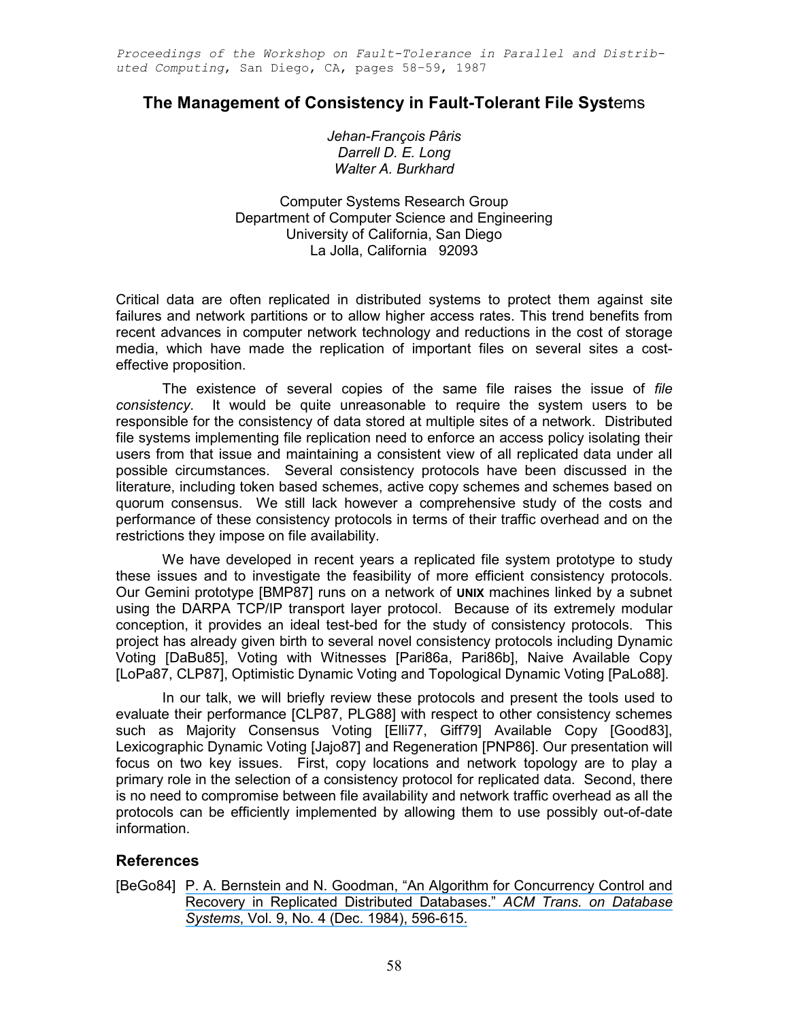Proceedings of the Workshop on Fault-Tolerance in Parallel and Distributed Computing, San Diego, CA, pages 58–59, 1987

## The Management of Consistency in Fault-Tolerant File Systems

Jehan-François Pâris Darrell D. E. Long Walter A. Burkhard

Computer Systems Research Group Department of Computer Science and Engineering University of California, San Diego La Jolla, California 92093

Critical data are often replicated in distributed systems to protect them against site failures and network partitions or to allow higher access rates. This trend benefits from recent advances in computer network technology and reductions in the cost of storage media, which have made the replication of important files on several sites a costeffective proposition.

The existence of several copies of the same file raises the issue of file consistency. It would be quite unreasonable to require the system users to be responsible for the consistency of data stored at multiple sites of a network. Distributed file systems implementing file replication need to enforce an access policy isolating their users from that issue and maintaining a consistent view of all replicated data under all possible circumstances. Several consistency protocols have been discussed in the literature, including token based schemes, active copy schemes and schemes based on quorum consensus. We still lack however a comprehensive study of the costs and performance of these consistency protocols in terms of their traffic overhead and on the restrictions they impose on file availability.

We have developed in recent years a replicated file system prototype to study these issues and to investigate the feasibility of more efficient consistency protocols. Our Gemini prototype [BMP87] runs on a network of UNIX machines linked by a subnet using the DARPA TCP/IP transport layer protocol. Because of its extremely modular conception, it provides an ideal test-bed for the study of consistency protocols. This project has already given birth to several novel consistency protocols including Dynamic Voting [DaBu85], Voting with Witnesses [Pari86a, Pari86b], Naive Available Copy [LoPa87, CLP87], Optimistic Dynamic Voting and Topological Dynamic Voting [PaLo88].

In our talk, we will briefly review these protocols and present the tools used to evaluate their performance [CLP87, PLG88] with respect to other consistency schemes such as Majority Consensus Voting [Elli77, Giff79] Available Copy [Good83], Lexicographic Dynamic Voting [Jajo87] and Regeneration [PNP86]. Our presentation will focus on two key issues. First, copy locations and network topology are to play a primary role in the selection of a consistency protocol for replicated data. Second, there is no need to compromise between file availability and network traffic overhead as all the protocols can be efficiently implemented by allowing them to use possibly out-of-date information.

## References

[BeGo84] [P. A. Bernstein and N. Goodman, "An Algorithm for Concurrency Control and](https://www.researchgate.net/publication/220225432_An_Algorithm_for_Concurrency_Control_and_Recovery_in_Replicated_Distributed_Databases?el=1_x_8&enrichId=rgreq-066d699ae1747010f10f387a4e9f3aa5-XXX&enrichSource=Y292ZXJQYWdlOzI2NjA3MTIwMjtBUzoxODQ4MjIwNTYxMDM5MzZAMTQyMTA3NjQyMDM0MA==)  [Recovery in Replicated Distributed Databases."](https://www.researchgate.net/publication/220225432_An_Algorithm_for_Concurrency_Control_and_Recovery_in_Replicated_Distributed_Databases?el=1_x_8&enrichId=rgreq-066d699ae1747010f10f387a4e9f3aa5-XXX&enrichSource=Y292ZXJQYWdlOzI2NjA3MTIwMjtBUzoxODQ4MjIwNTYxMDM5MzZAMTQyMTA3NjQyMDM0MA==) ACM Trans. on Database Systems[, Vol. 9, No. 4 \(Dec. 1984\), 596-615.](https://www.researchgate.net/publication/220225432_An_Algorithm_for_Concurrency_Control_and_Recovery_in_Replicated_Distributed_Databases?el=1_x_8&enrichId=rgreq-066d699ae1747010f10f387a4e9f3aa5-XXX&enrichSource=Y292ZXJQYWdlOzI2NjA3MTIwMjtBUzoxODQ4MjIwNTYxMDM5MzZAMTQyMTA3NjQyMDM0MA==)